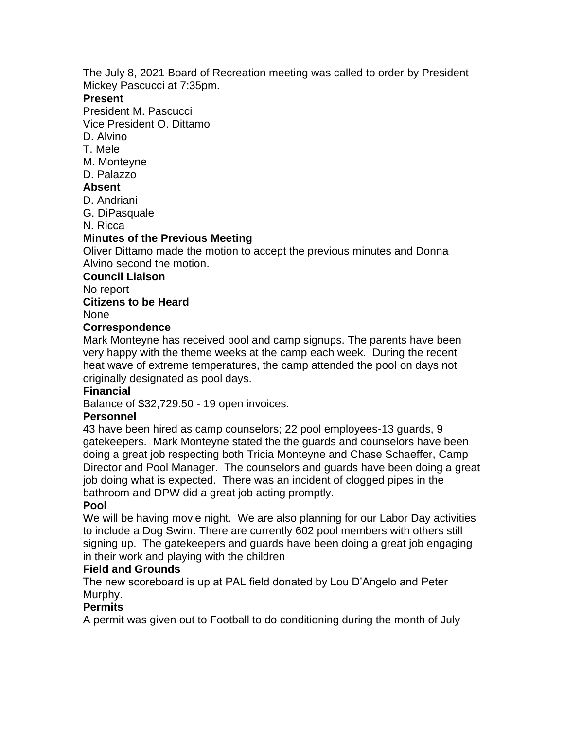The July 8, 2021 Board of Recreation meeting was called to order by President Mickey Pascucci at 7:35pm.

### **Present**

President M. Pascucci

Vice President O. Dittamo

D. Alvino

T. Mele

- M. Monteyne
- D. Palazzo

## **Absent**

- D. Andriani
- G. DiPasquale

N. Ricca

# **Minutes of the Previous Meeting**

Oliver Dittamo made the motion to accept the previous minutes and Donna Alvino second the motion.

#### **Council Liaison**

No report

## **Citizens to be Heard**

None

## **Correspondence**

Mark Monteyne has received pool and camp signups. The parents have been very happy with the theme weeks at the camp each week. During the recent heat wave of extreme temperatures, the camp attended the pool on days not originally designated as pool days.

### **Financial**

Balance of \$32,729.50 - 19 open invoices.

### **Personnel**

43 have been hired as camp counselors; 22 pool employees-13 guards, 9 gatekeepers. Mark Monteyne stated the the guards and counselors have been doing a great job respecting both Tricia Monteyne and Chase Schaeffer, Camp Director and Pool Manager. The counselors and guards have been doing a great job doing what is expected. There was an incident of clogged pipes in the bathroom and DPW did a great job acting promptly.

### **Pool**

We will be having movie night. We are also planning for our Labor Day activities to include a Dog Swim. There are currently 602 pool members with others still signing up. The gatekeepers and guards have been doing a great job engaging in their work and playing with the children

### **Field and Grounds**

The new scoreboard is up at PAL field donated by Lou D'Angelo and Peter Murphy.

# **Permits**

A permit was given out to Football to do conditioning during the month of July